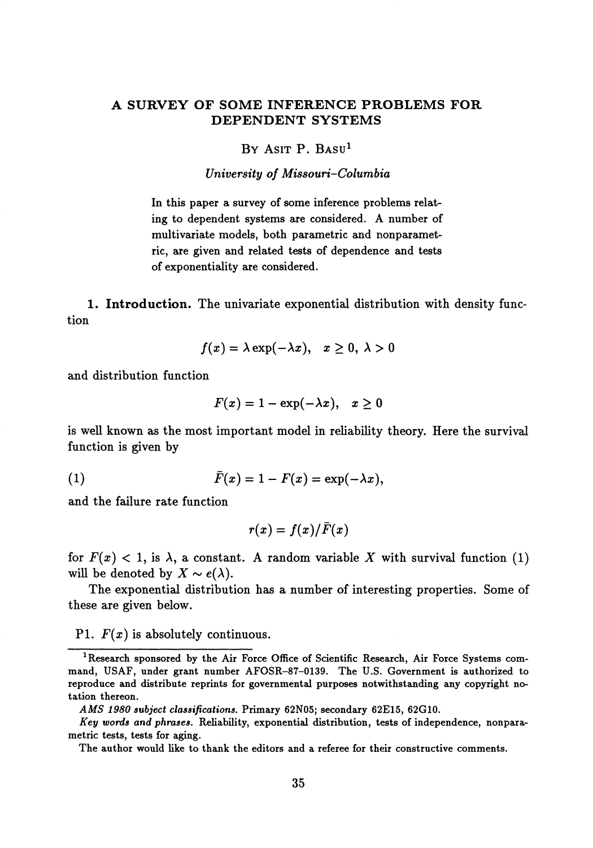# **A SURVEY OF SOME INFERENCE PROBLEMS FOR DEPENDENT SYSTEMS**

#### BY ASIT P. BASU<sup>1</sup>

#### *University of Missouri-Columbia*

In this paper a survey of some inference problems relat ing to dependent systems are considered. A number of multivariate models, both parametric and nonparamet ric, are given and related tests of dependence and tests of exponentiality are considered.

**1. Introduction.** The univariate exponential distribution with density func tion

$$
f(x) = \lambda \exp(-\lambda x), \quad x \ge 0, \ \lambda > 0
$$

and distribution function

$$
F(x) = 1 - \exp(-\lambda x), \quad x \ge 0
$$

is well known as the most important model in reliability theory. Here the survival function is given by

$$
\bar{F}(x) = 1 - F(x) = \exp(-\lambda x),
$$

and the failure rate function

$$
r(x)=f(x)/\bar{F}(x)
$$

for  $F(x) < 1$ , is  $\lambda$ , a constant. A random variable X with survival function (1) will be denoted by  $X \sim e(\lambda)$ .

The exponential distribution has a number of interesting properties. Some of these are given below.

## PI. *F(x)* is absolutely continuous.

**<sup>1</sup> Research sponsored by the Air Force Office of Scientific Research, Air Force Systems com mand, USAF, under grant number AFOSR-87-0139. The U.S. Government is authorized to reproduce and distribute reprints for governmental purposes notwithstanding any copyright no tation thereon.**

*AMS 1980 subject classifications.* **Primary 62N05; secondary 62E15, 62G10.**

*Key words and phrases.* **Reliability, exponential distribution, tests of independence, nonpara metric tests, tests for aging.**

**The author would like to thank the editors and a referee for their constructive comments.**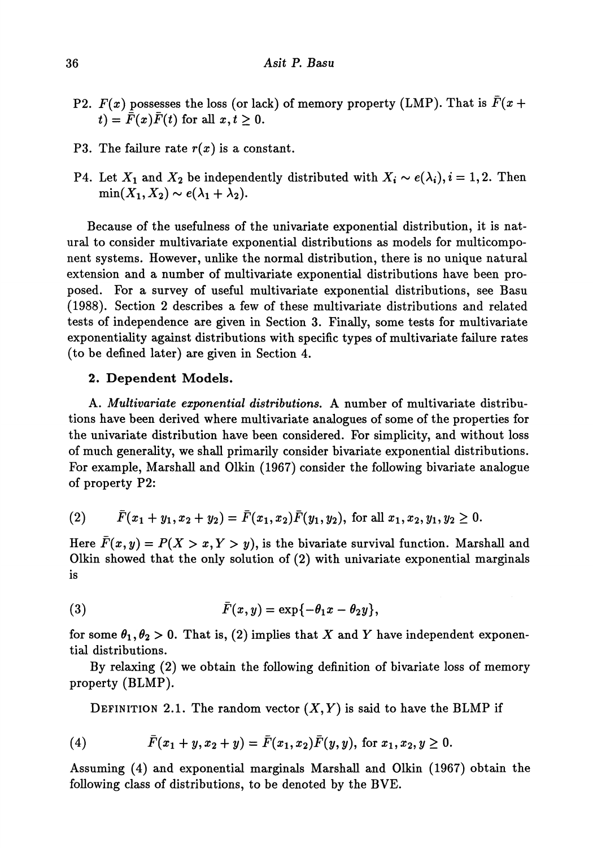- P2.  $F(x)$  possesses the loss (or lack) of memory property (LMP). That is  $\overline{F}(x +$  $f(t) = \overline{\overline{F}}(x)\overline{F}(t)$  for all  $x, t \geq 0$ .
- P3. The failure rate *r(x)* is a constant.
- P4. Let  $X_1$  and  $X_2$  be independently distributed with  $X_i \sim e(\lambda_i)$ ,  $i = 1, 2$ . Then  $\min(X_1, X_2) \sim e(\lambda_1 + \lambda_2).$

Because of the usefulness of the univariate exponential distribution, it is nat ural to consider multivariate exponential distributions as models for multicompo nent systems. However, unlike the normal distribution, there is no unique natural extension and a number of multivariate exponential distributions have been pro posed. For a survey of useful multivariate exponential distributions, see Basu (1988). Section 2 describes a few of these multivariate distributions and related tests of independence are given in Section 3. Finally, some tests for multivariate exponentiality against distributions with specific types of multivariate failure rates (to be defined later) are given in Section 4.

## 2. Dependent Models.

A. *Multivariate exponential distributions.* A number of multivariate distribu tions have been derived where multivariate analogues of some of the properties for the univariate distribution have been considered. For simplicity, and without loss of much generality, we shall primarily consider bivariate exponential distributions. For example, Marshall and Olkin (1967) consider the following bivariate analogue of property P2:

(2) 
$$
\bar{F}(x_1 + y_1, x_2 + y_2) = \bar{F}(x_1, x_2)\bar{F}(y_1, y_2)
$$
, for all  $x_1, x_2, y_1, y_2 \ge 0$ .

Here  $\bar{F}(x,y) = P(X > x, Y > y)$ , is the bivariate survival function. Marshall and Olkin showed that the only solution of (2) with univariate exponential marginals is

(3) 
$$
\bar{F}(x,y)=\exp\{-\theta_1x-\theta_2y\},\,
$$

for some  $\theta_1, \theta_2 > 0$ . That is, (2) implies that X and Y have independent exponen tial distributions.

By relaxing (2) we obtain the following definition of bivariate loss of memory property (BLMP).

DEFINITION 2.1. The random vector  $(X, Y)$  is said to have the BLMP if

(4) 
$$
\bar{F}(x_1+y,x_2+y)=\bar{F}(x_1,x_2)\bar{F}(y,y), \text{ for } x_1,x_2,y\geq 0.
$$

Assuming (4) and exponential marginals Marshall and Olkin (1967) obtain the following class of distributions, to be denoted by the BVE.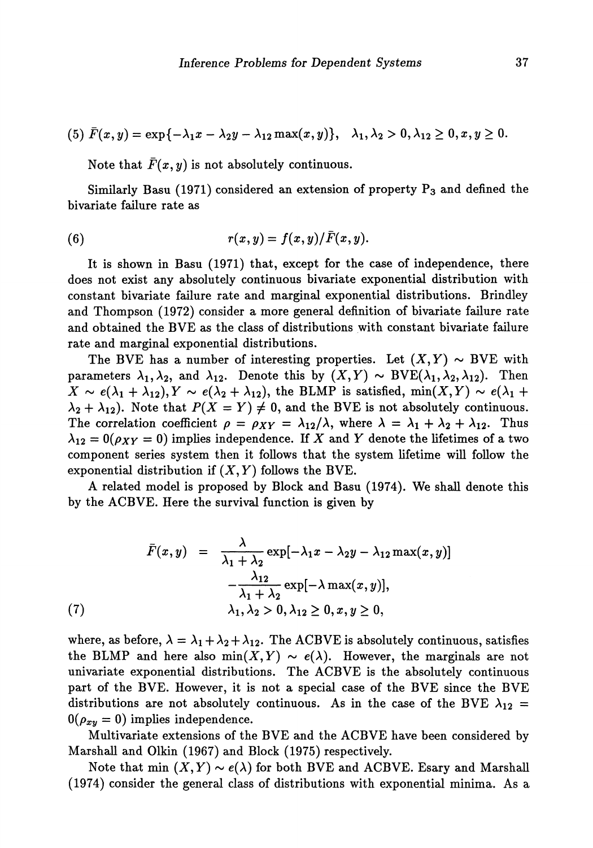$$
(5) \ \bar{F}(x,y) = \exp\{-\lambda_1 x - \lambda_2 y - \lambda_{12} \max(x,y)\}, \quad \lambda_1, \lambda_2 > 0, \lambda_{12} \ge 0, x, y \ge 0.
$$

Note that  $\bar{F}(x, y)$  is not absolutely continuous.

Similarly Basu (1971) considered an extension of property  $P_3$  and defined the bivariate failure rate as

(6) 
$$
r(x,y) = f(x,y)/\bar{F}(x,y).
$$

It is shown in Basu (1971) that, except for the case of independence, there does not exist any absolutely continuous bivariate exponential distribution with constant bivariate failure rate and marginal exponential distributions. Brindley and Thompson (1972) consider a more general definition of bivariate failure rate and obtained the BVE as the class of distributions with constant bivariate failure rate and marginal exponential distributions.

The BVE has a number of interesting properties. Let  $(X, Y) \sim$  BVE with parameters  $\lambda_1, \lambda_2$ , and  $\lambda_{12}$ . Denote this by  $(X, Y) \sim BVE(\lambda_1, \lambda_2, \lambda_{12})$ . Then  $\hat{X} \sim e(\lambda_1 + \lambda_{12}), Y \sim e(\lambda_2 + \lambda_{12}),$  the BLMP is satisfied,  $min(X, Y) \sim e(\lambda_1 + \lambda_{12}),$  $2 + \lambda_{12}$ ). Note that  $P(X = Y) \neq 0$ , and the BVE is not absolutely continuous. The correlation coefficient  $\rho = \rho_{XY} = \lambda_{12}/\lambda$ , where  $\lambda = \lambda_1 + \lambda_2 + \lambda_{12}$ . Thus  $_{12} = 0(\rho_{XY} = 0)$  implies independence. If X and Y denote the lifetimes of a two component series system then it follows that the system lifetime will follow the exponential distribution if  $(X, Y)$  follows the BVE.

A related model is proposed by Block and Basu (1974). We shall denote this by the ACBVE. Here the survival function is given by

$$
\bar{F}(x, y) = \frac{\lambda}{\lambda_1 + \lambda_2} \exp[-\lambda_1 x - \lambda_2 y - \lambda_{12} \max(x, y)]
$$

$$
-\frac{\lambda_{12}}{\lambda_1 + \lambda_2} \exp[-\lambda \max(x, y)],
$$
  
(7) 
$$
\lambda_1, \lambda_2 > 0, \lambda_{12} \ge 0, x, y \ge 0,
$$

where, as before,  $\lambda = \lambda_1 + \lambda_2 + \lambda_{12}$ . The ACBVE is absolutely continuous, satisfies the BLMP and here also  $min(X, Y) \sim e(\lambda)$ . However, the marginals are not univariate exponential distributions. The ACBVE is the absolutely continuous part of the BVE. However, it is not a special case of the BVE since the BVE distributions are not absolutely continuous. As in the case of the BVE  $\lambda_{12}$  =  $0(\rho_{xy} = 0)$  implies independence.

Multivariate extensions of the BVE and the ACBVE have been considered by Marshall and Olkin (1967) and Block (1975) respectively.

Note that min  $(X, Y) \sim e(\lambda)$  for both BVE and ACBVE. Esary and Marshall (1974) consider the general class of distributions with exponential minima. As a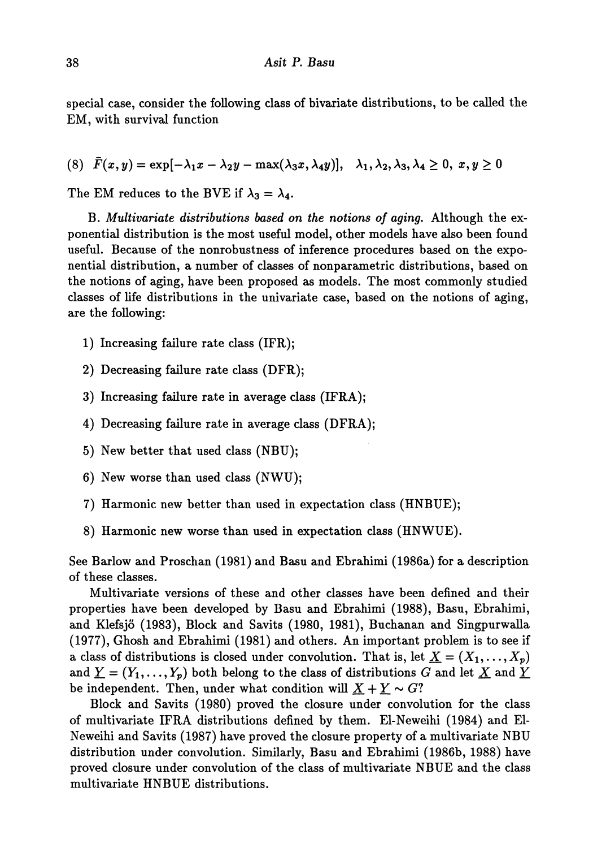special case, consider the following class of bivariate distributions, to be called the EM, with survival function

 $\begin{array}{ll} \hbox{(8)} \ \ \bar F(x,y)=\exp[-\lambda_1x-\lambda_2y-\max(\lambda_3x,\lambda_4y)], & \lambda_1,\lambda_2,\lambda_3,\lambda_4\geq 0, \ x,y\geq 0 \end{array}$ 

The EM reduces to the BVE if  $\lambda_3 = \lambda_4$ .

B. *Multiυαriαte distributions based on the notions of aging.* Although the ex ponential distribution is the most useful model, other models have also been found useful. Because of the nonrobustness of inference procedures based on the expo nential distribution, a number of classes of nonparametric distributions, based on the notions of aging, have been proposed as models. The most commonly studied classes of life distributions in the univariate case, based on the notions of aging, are the following:

- 1) Increasing failure rate class (IFR);
- 2) Decreasing failure rate class (DFR);
- 3) Increasing failure rate in average class (IFRA);
- 4) Decreasing failure rate in average class (DFRA);
- 5) New better that used class (NBU);
- 6) New worse than used class (NWU);
- 7) Harmonic new better than used in expectation class (HNBUE);
- 8) Harmonic new worse than used in expectation class (HNWUE).

See Barlow and Proschan (1981) and Basu and Ebrahimi (1986a) for a description of these classes.

Multivariate versions of these and other classes have been defined and their properties have been developed by Basu and Ebrahimi (1988), Basu, Ebrahimi, and Klefsjö (1983), Block and Savits (1980, 1981), Buchanan and Singpurwalla (1977), Ghosh and Ebrahimi (1981) and others. An important problem is to see if a class of distributions is closed under convolution. That is, let  $\underline{X} = (X_1, \ldots, X_p)$ and  $\underline{Y}=(Y_1,\ldots,Y_p)$  both belong to the class of distributions  $G$  and let  $\underline{X}$  and  $\underline{Y}$ be independent. Then, under what condition will  $\underline{X} + \underline{Y} \sim G$ ?

Block and Savits (1980) proved the closure under convolution for the class of multivariate IFRA distributions defined by them. El-Neweihi (1984) and El Neweihi and Savits (1987) have proved the closure property of a multivariate NBU distribution under convolution. Similarly, Basu and Ebrahimi (1986b, 1988) have proved closure under convolution of the class of multivariate NBXJE and the class multivariate HNBUE distributions.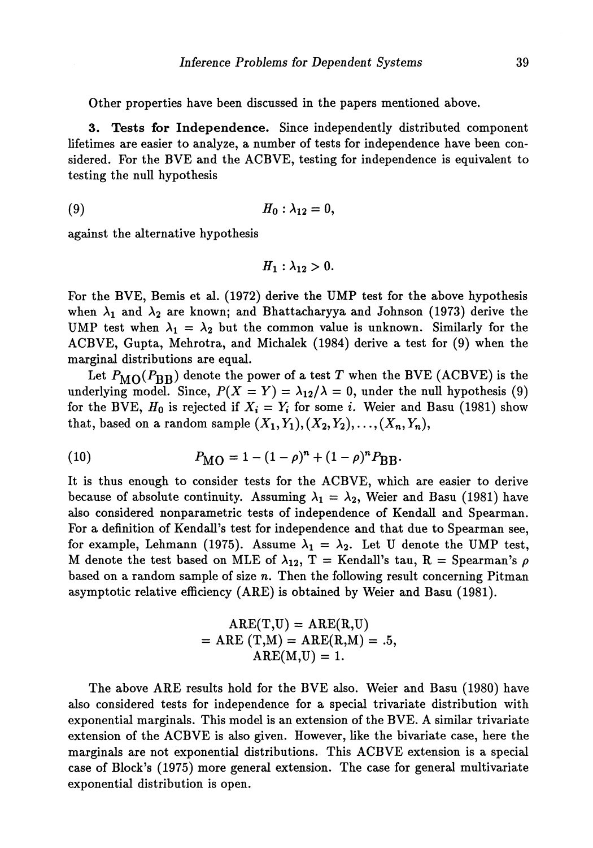Other properties have been discussed in the papers mentioned above.

3 Tests **for Independence.** Since independently distributed component lifetimes are easier to analyze, a number of tests for independence have been con sidered. For the BVE and the ACBVE, testing for independence is equivalent to testing the null hypothesis

$$
(9) \hspace{3.1em} H_0: \lambda_{12}=0,
$$

against the alternative hypothesis

$$
H_1: \lambda_{12} > 0.
$$

For the BVE, Bemis et al. (1972) derive the UMP test for the above hypothesis when  $\lambda_1$  and  $\lambda_2$  are known; and Bhattacharyya and Johnson (1973) derive the UMP test when  $\lambda_1 = \lambda_2$  but the common value is unknown. Similarly for the ACBVE, Gupta, Mehrotra, and Michalek (1984) derive a test for (9) when the marginal distributions are equal.

Let  $P_{\rm MO}(P_{\rm BB})$  denote the power of a test  $T$  when the BVE (ACBVE) is the underlying model. Since,  $P(X = Y) = \lambda_{12}/\lambda = 0$ , under the null hypothesis (9) for the BVE,  $H_0$  is rejected if  $X_i = Y_i$  for some *i*. Weier and Basu (1981) show that, based on a random sample  $(X_1,Y_1),(X_2,Y_2),\ldots,(X_n,Y_n),$ 

(10) 
$$
P_{\text{MO}} = 1 - (1 - \rho)^n + (1 - \rho)^n P_{\text{BB}}.
$$

It is thus enough to consider tests for the ACBVE, which are easier to derive because of absolute continuity. Assuming  $\lambda_1 = \lambda_2$ , Weier and Basu (1981) have also considered nonparametric tests of independence of Kendall and Spearman. For a definition of Kendall's test for independence and that due to Spearman see, for example, Lehmann (1975). Assume  $\lambda_1 = \lambda_2$ . Let U denote the UMP test, M denote the test based on MLE of  $\lambda_{12}$ , T = Kendall's tau, R = Spearman's  $\rho$ based on a random sample of size *n.* Then the following result concerning Pitman asymptotic relative efficiency (ARE) is obtained by Weier and Basu (1981).

$$
ARE(T,U) = ARE(R,U)
$$
  
= ARE (T,M) = ARE(R,M) = .5,  
ARE(M,U) = 1.

The above ARE results hold for the BVE also. Weier and Basu (1980) have also considered tests for independence for a special trivariate distribution with exponential marginals. This model is an extension of the BVE. A similar trivariate extension of the ACBVE is also given. However, like the bivariate case, here the marginals are not exponential distributions. This ACBVE extension is a special case of Block's (1975) more general extension. The case for general multivariate exponential distribution is open.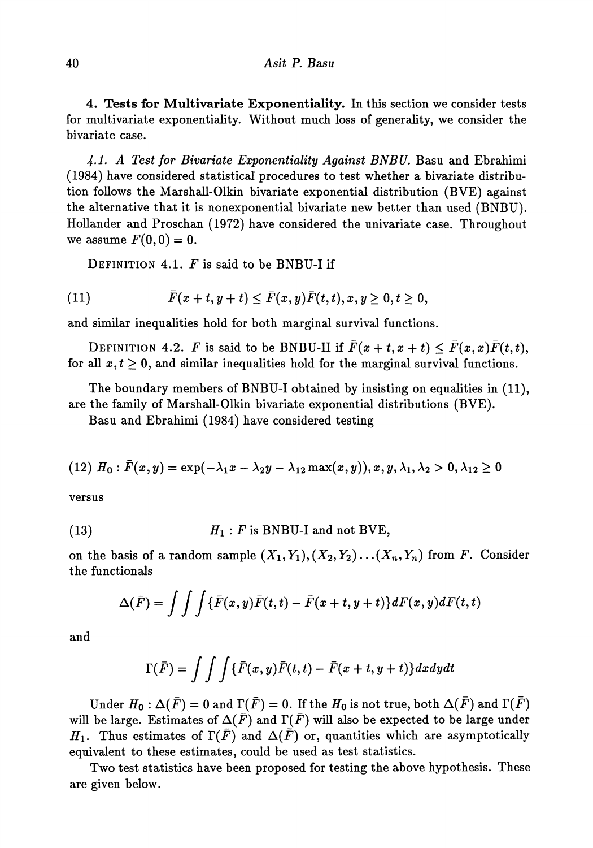4. Tests **for** Multivariate Exponentiality. In this section we consider tests for multivariate exponentiality. Without much loss of generality, we consider the bivariate case.

*4-1. A Test for Bivariate Exponentiality Against BNBU.* Basu and Ebrahimi (1984) have considered statistical procedures to test whether a bivariate distribu tion follows the Marshall-Olkin bivariate exponential distribution (BVE) against the alternative that it is nonexponential bivariate new better than used (BNBU). Hollander and Proschan (1972) have considered the univariate case. Throughout we assume  $F(0,0) = 0$ .

DEFINITION 4.1. *F* is said to be BNBU-I if

$$
(11) \qquad \qquad \bar{F}(x+t,y+t)\leq \bar{F}(x,y)\bar{F}(t,t), x,y\geq 0, t\geq 0,
$$

and similar inequalities hold for both marginal survival functions.

DEFINITION 4.2. *F* is said to be BNBU-II if  $\bar{F}(x+t,x+t) \leq \bar{F}(x,x)\bar{F}(t,t)$ , for all  $x, t \geq 0$ , and similar inequalities hold for the marginal survival functions.

The boundary members of BNBU-I obtained by insisting on equalities in (11), are the family of Marshall-Olkin bivariate exponential distributions (BVE).

Basu and Ebrahimi (1984) have considered testing

$$
(12) H_0: \bar{F}(x,y) = \exp(-\lambda_1 x - \lambda_2 y - \lambda_{12} \max(x,y)), x, y, \lambda_1, \lambda_2 > 0, \lambda_{12} \ge 0
$$

versus

(13) 
$$
H_1: F \text{ is BNBU-I and not BVE},
$$

on the basis of a random sample  $(X_1, Y_1), (X_2, Y_2) \ldots (X_n, Y_n)$  from *F*. Consider the functional

$$
\Delta(\bar{F}) = \int \int \int \{\bar{F}(x,y)\bar{F}(t,t) - \bar{F}(x+t,y+t)\} dF(x,y) dF(t,t)
$$

and

$$
\Gamma(\bar{F}) = \int \int \int {\{\bar{F}(x,y) \bar{F}(t,t) - \bar{F}(x+t,y+t)\} } dx dy dt
$$

Under  $H_0: \Delta(\bar{F}) = 0$  and  $\Gamma(\bar{F}) = 0$ . If the  $H_0$  is not true, both  $\Delta(F)$  and  $\Gamma(F)$ will be large. Estimates of  $\Delta(\bar{F})$  and  $\Gamma(\bar{F})$  will also be expected to be large under *H*<sub>1</sub>. Thus estimates of  $\Gamma(\bar{F})$  and  $\Delta(\bar{F})$  or, quantities which are asymptotically equivalent to these estimates, could be used as test statistics.

Two test statistics have been proposed for testing the above hypothesis. These are given below.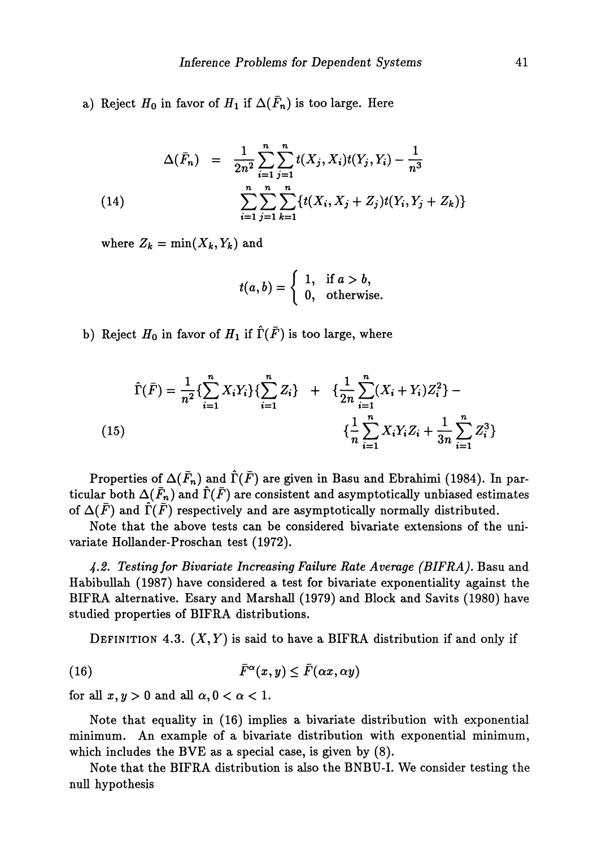a) Reject  $H_0$  in favor of  $H_1$  if  $\Delta(\bar F_n)$  is too large. Here

(14) 
$$
\Delta(\bar{F}_n) = \frac{1}{2n^2} \sum_{i=1}^n \sum_{j=1}^n t(X_j, X_i) t(Y_j, Y_i) - \frac{1}{n^3}
$$

$$
\sum_{i=1}^n \sum_{j=1}^n \sum_{k=1}^n \{t(X_i, X_j + Z_j) t(Y_i, Y_j + Z_k)\}
$$

where  $Z_k = \min(X_k, Y_k)$  and

$$
t(a,b) = \begin{cases} 1, & \text{if } a > b, \\ 0, & \text{otherwise.} \end{cases}
$$

b) Reject  $H_0$  in favor of  $H_1$  if  $\hat{\Gamma}(\bar{F})$  is too large, where

$$
\hat{\Gamma}(\bar{F}) = \frac{1}{n^2} \{ \sum_{i=1}^n X_i Y_i \} \{ \sum_{i=1}^n Z_i \} + \{ \frac{1}{2n} \sum_{i=1}^n (X_i + Y_i) Z_i^2 \} - \{ \frac{1}{n} \sum_{i=1}^n X_i Y_i Z_i + \frac{1}{3n} \sum_{i=1}^n Z_i^3 \}
$$
\n(15)

Properties of  $\Delta(\bar{F}_n)$  and  $\hat{\Gamma}(\bar{F})$  are given in Basu and Ebrahimi (1984). In particular both  $\Delta(\bar{F}_n)$  and  $\hat{\Gamma}(\bar{F})$  are consistent and asymptotically unbiased estimates of  $\Delta(F)$  and  $\Gamma(F)$  respectively and are asymptotically normally distributed.

Note that the above tests can be considered bivariate extensions of the uni variate Hollander-Proschan test (1972).

*4-2. Testing for Bivariate Increasing Failure Rate Average (BIFRA).* Basu and Habibullah (1987) have considered a test for bivariate exponentiality against the BIFRA alternative. Esary and Marshall (1979) and Block and Savits (1980) have studied properties of BIFRA distributions.

DEFINITION 4.3.  $(X, Y)$  is said to have a BIFRA distribution if and only if

(16) 
$$
\bar{F}^{\alpha}(x, y) \leq \bar{F}(\alpha x, \alpha y)
$$

for all  $x, y > 0$  and all  $\alpha, 0 < \alpha < 1$ .

Note that equality in (16) implies a bivariate distribution with exponential minimum. An example of a bivariate distribution with exponential minimum, which includes the BVE as a special case, is given by (8).

Note that the BIFRA distribution is also the BNBU-I. We consider testing the null hypothesis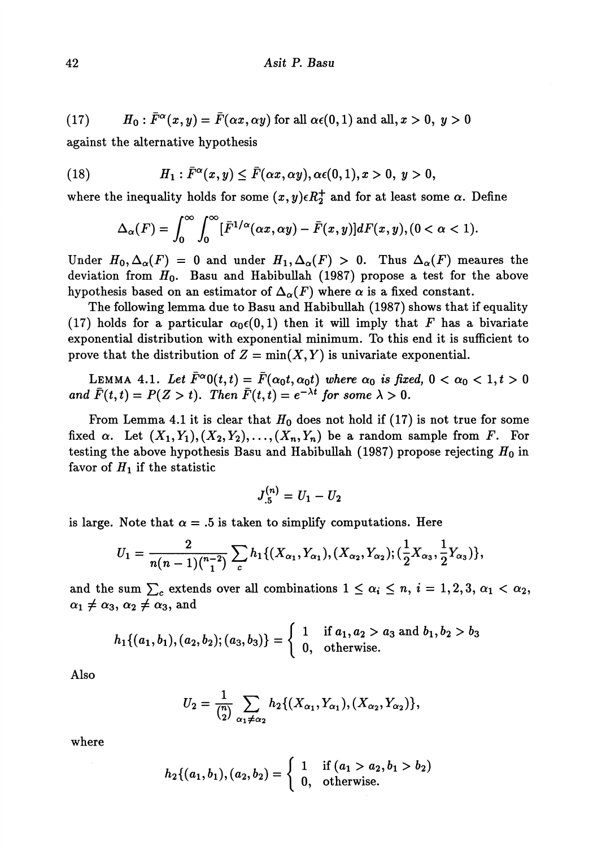(17) 
$$
H_0: \overline{F}^{\alpha}(x,y) = \overline{F}(\alpha x, \alpha y) \text{ for all } \alpha \in (0,1) \text{ and all, } x > 0, y > 0
$$

against the alternative hypothesis

(18) 
$$
H_1: \bar{F}^{\alpha}(x,y) \leq \bar{F}(\alpha x,\alpha y), \alpha \in (0,1), x > 0, y > 0,
$$

where the inequality holds for some  $(x,y)\epsilon R_2^+$  and for at least some  $\alpha$ . Define

$$
\Delta_{\alpha}(F) = \int_0^{\infty} \int_0^{\infty} [\bar{F}^{1/\alpha}(\alpha x, \alpha y) - \bar{F}(x, y)] dF(x, y), (0 < \alpha < 1).
$$

Under  $H_0$ ,  $\Delta_\alpha(F) = 0$  and under  $H_1$ ,  $\Delta_\alpha(F) > 0$ . Thus  $\Delta_\alpha(F)$  meaures the deviation from *ΠQ.* Basu and Habibullah (1987) propose a test for the above hypothesis based on an estimator of  $\Delta_{\alpha}(F)$  where  $\alpha$  is a fixed constant.

The following lemma due to Basu and Habibullah (1987) shows that if equality (17) holds for a particular  $\alpha_0 \epsilon(0,1)$  then it will imply that F has a bivariate exponential distribution with exponential minimum. To this end it is sufficient to prove that the distribution of  $Z = min(X, Y)$  is univariate exponential.

LEMMA 4.1. Let  $F^{\alpha}0(t,t) = F(\alpha_0 t, \alpha_0 t)$  where  $\alpha_0$  is fixed,  $0 < \alpha_0 < 1, t > 0$ *and*  $\bar{F}(t,t) = P(Z > t)$ . Then  $\bar{F}(t,t) = e^{-\lambda t}$  for some  $\lambda > 0$ .

From Lemma 4.1 it is clear that  $H_0$  does not hold if (17) is not true for some fixed  $\alpha$ . Let  $(X_1, Y_1), (X_2, Y_2), \ldots, (X_n, Y_n)$  be a random sample from *F*. For testing the above hypothesis Basu and Habibullah (1987) propose rejecting *Ho* in favor of  $H_1$  if the statistic

$$
J^{(n)}_{.5}={\it U}_{1}-{\it U}_{2}
$$

is large. Note that  $\alpha = .5$  is taken to simplify computations. Here

$$
U_1 = \frac{2}{n(n-1)\binom{n-2}{1}} \sum_c h_1\{(X_{\alpha_1}, Y_{\alpha_1}), (X_{\alpha_2}, Y_{\alpha_2}); (\frac{1}{2}X_{\alpha_3}, \frac{1}{2}Y_{\alpha_3})\},\,
$$

and the sum  $\sum_c$  extends over all combinations  $1 \leq \alpha_i \leq n, i = 1, 2, 3, \alpha_1 < \alpha_2$ ,  $\alpha_1 \neq \alpha_3, \, \alpha_2 \neq \alpha_3$ , and

$$
h_1\{(a_1,b_1),(a_2,b_2);(a_3,b_3)\}=\left\{\begin{array}{ll}1 & \text{if }a_1,a_2>a_3\text{ and }b_1,b_2>b_3\\0, & \text{otherwise.}\end{array}\right.
$$

Also

$$
(u_2, v_2), (u_3, v_3)) = \begin{cases} 0, & \text{otherwise.} \end{cases}
$$
  

$$
U_2 = \frac{1}{\binom{n}{2}} \sum_{\alpha_1 \neq \alpha_2} h_2 \{(X_{\alpha_1}, Y_{\alpha_1}), (X_{\alpha_2}, Y_{\alpha_2})\},
$$

where

$$
h_2\{(a_1,b_1),(a_2,b_2)=\begin{cases}1 & \text{if } (a_1>a_2,b_1>b_2)\\0, & \text{otherwise.}\end{cases}
$$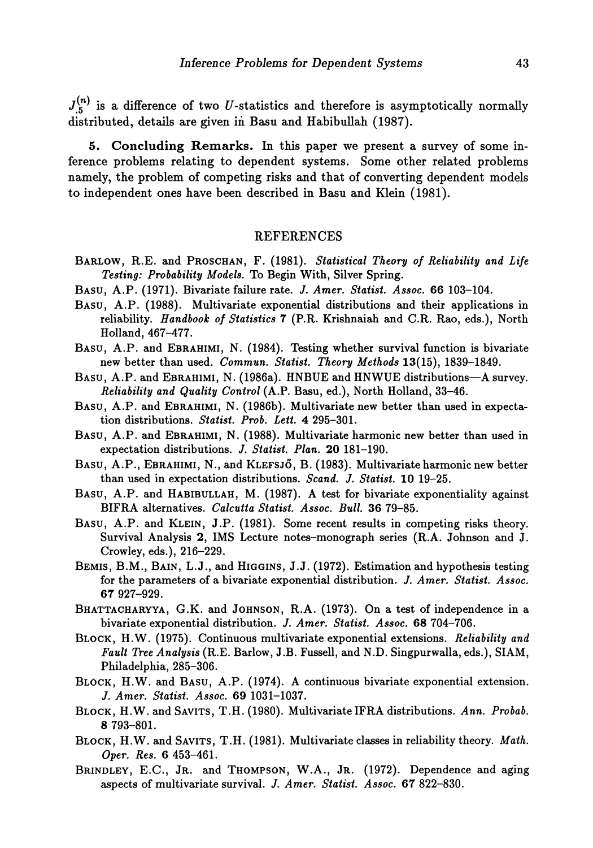$J_{.5}^{(n)}$  is a difference of two U-statistics and therefore is asymptotically normally distributed, details are given in Basu and Habibullah (1987).

**5. Concluding Remarks.** In this paper we present a survey of some inference problems relating to dependent systems. Some other related problems namely, the problem of competing risks and that of converting dependent models to independent ones have been described in Basu and Klein (1981).

#### REFERENCES

- **BARLOW, R.E. and PROSCHAN, F. (1981).** *Statistical Theory of Reliability and Life Testing: Probability Models.* **To Begin With, Silver Spring.**
- **BASU, A.P. (1971). Bivariate failure rate.** *J. Amer. Statist Assoc.* **66 103-104.**
- **BASU, A.P. (1988). Multivariate exponential distributions and their applications in reliability.** *Handbook of Statistics* **7 (P.R. Krishnaiah and C.R. Rao, eds.), North Holland, 467-477.**
- **BASU, A.P. and EBRAHIMI, N. (1984). Testing whether survival function is bivariate new better than used.** *Commun. Statist Theory Methods* **13(15), 1839-1849.**
- **BASU, A.P. and EBRAHIMI, N. (1986a). HNBUE and HNWUE distributions—A survey.** *Reliability and Quality Control* **(A.P. Basu, ed.), North Holland, 33-46.**
- **BASU, A.P. and EBRAHIMI, N. (1986b). Multivariate new better than used in expecta**tion distributions. *Statist. Prob. Lett.* 4 295-301.
- **BASU, A.P. and EBRAHIMI, N. (1988). Multivariate harmonic new better than used in expectation distributions.** *J. Statist Plan.* **20 181-190.**
- **BASU, A.P., EBRAHIMI, N., and KLEFSJO, B. (1983). Multivariate harmonic new better than used in expectation distributions.** *Scand. J. Statist* **10 19-25.**
- **BASU, A.P. and HABIBULLAH, M. (1987). A test for bivariate exponentiality against BIFRA alternatives.** *Calcutta Statist Assoc. Bull.* **36 79-85.**
- **BASU, A.P. and KLEIN, J.P. (1981). Some recent results in competing risks theory. Survival Analysis 2, IMS Lecture notes-monograph series (R.A. Johnson and J. Crowley, eds.), 216-229.**
- **BEMIS, B.M., BAIN, L.J., and HIGGINS, J.J. (1972). Estimation and hypothesis testing for the parameters of a bivariate exponential distribution.** *J. Amer. Statist Assoc.* **67 927-929.**
- **BHATTACHARYYA, G.K. and JOHNSON, R.A. (1973). On a test of independence in a bivariate exponential distribution.** *J. Amer. Statist Assoc.* **68 704-706.**
- **BLOCK, H.W. (1975). Continuous multivariate exponential extensions.** *Reliability and Fault Tree Analysis* **(R.E. Barlow, J.B. Fussell, and N.D. Singpurwalla, eds.), SIAM, Philadelphia, 285-306.**
- **BLOCK, H.W. and BASU, A.P. (1974). A continuous bivariate exponential extension. /.** *Amer. Statist Assoc.* **69 1031-1037.**
- **BLOCK, H.W. andSAViTS, T.H. (1980). Multivariate IFRA distributions.** *Ann. Probab.* **8 793-801.**
- **BLOCK, H.W. and SAVITS, T.H. (1981). Multivariate classes in reliability theory.** *Math. Oper. Res.* **6 453-461.**
- **BRINDLEY, E.C., JR. and THOMPSON, W.A., JR. (1972). Dependence and aging aspects of multivariate survival. /.** *Amer. Statist. Assoc.* **67 822-830.**